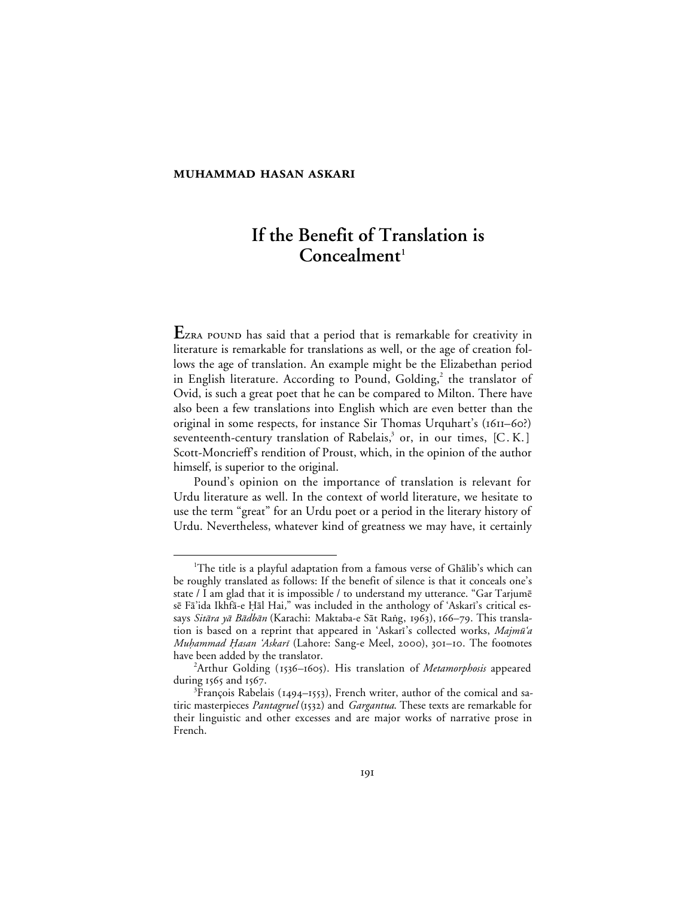## **MUHAMMAD HASAN ASKARI**

# **If the Benefit of Translation is** Concealment<sup>1</sup>

EZRA POUND has said that a period that is remarkable for creativity in literature is remarkable for translations as well, or the age of creation follows the age of translation. An example might be the Elizabethan period in English literature. According to Pound, Golding,<sup>2</sup> the translator of Ovid, is such a great poet that he can be compared to Milton. There have also been a few translations into English which are even better than the original in some respects, for instance Sir Thomas Urquhart's (1611–60?) seventeenth-century translation of Rabelais,<sup>3</sup> or, in our times, [C.K.] Scott-Moncrieff's rendition of Proust, which, in the opinion of the author himself, is superior to the original.

Pound's opinion on the importance of translation is relevant for Urdu literature as well. In the context of world literature, we hesitate to use the term "great" for an Urdu poet or a period in the literary history of Urdu. Nevertheless, whatever kind of greatness we may have, it certainly

 <sup>1</sup> <sup>1</sup>The title is a playful adaptation from a famous verse of Ghalib's which can be roughly translated as follows: If the benefit of silence is that it conceals one's state / I am glad that it is impossible / to understand my utterance. "Gar Tarjumē sē Fā'ida Ikhfā-e Ḥāl Hai," was included in the anthology of 'Askarī's critical essays *Sitāra yā Bādbān* (Karachi: Maktaba-e Sāt Raṅg, 1963), 166–79. This translation is based on a reprint that appeared in 'Askari's collected works, Majmū'a Muhammad Hasan 'Askarī (Lahore: Sang-e Meel, 2000), 301-10. The footnotes have been added by the translator.

<sup>&</sup>lt;sup>2</sup>Arthur Golding (1536-1605). His translation of *Metamorphosis* appeared during  $1565$  and  $1567$ .

 ${}^{3}$ François Rabelais (1494–1553), French writer, author of the comical and satiric masterpieces *Pantagruel* (1532) and *Gargantua*. These texts are remarkable for their linguistic and other excesses and are major works of narrative prose in French.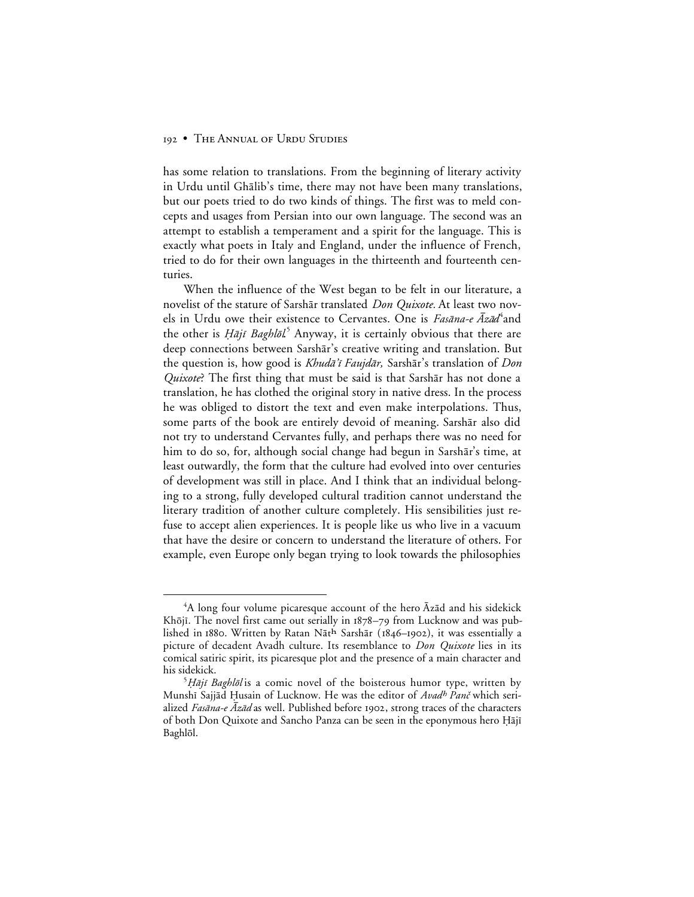has some relation to translations. From the beginning of literary activity in Urdu until Ghālib's time, there may not have been many translations, but our poets tried to do two kinds of things. The first was to meld concepts and usages from Persian into our own language. The second was an attempt to establish a temperament and a spirit for the language. This is exactly what poets in Italy and England, under the influence of French, tried to do for their own languages in the thirteenth and fourteenth centuries.

When the influence of the West began to be felt in our literature, a novelist of the stature of Sarshār translated *Don Quixote*. At least two novels in Urdu owe their existence to Cervantes. One is *Fasāna-e Āzād*<sup>4</sup>and the other is *Ḥājī Baghlōl*<sup>5</sup> Anyway, it is certainly obvious that there are deep connections between Sarshār's creative writing and translation. But the question is, how good is *Khudā'ī Faujdār*, Sarshār's translation of *Don Quixote*? The first thing that must be said is that Sarshar has not done a translation, he has clothed the original story in native dress. In the process he was obliged to distort the text and even make interpolations. Thus, some parts of the book are entirely devoid of meaning. Sarshār also did not try to understand Cervantes fully, and perhaps there was no need for him to do so, for, although social change had begun in Sarshar's time, at least outwardly, the form that the culture had evolved into over centuries of development was still in place. And I think that an individual belonging to a strong, fully developed cultural tradition cannot understand the literary tradition of another culture completely. His sensibilities just refuse to accept alien experiences. It is people like us who live in a vacuum that have the desire or concern to understand the literature of others. For example, even Europe only began trying to look towards the philosophies

 $\overline{4}$ <sup>4</sup>A long four volume picaresque account of the hero  $\bar{A}z\bar{a}d$  and his sidekick Khōjī. The novel first came out serially in  $1878-79$  from Lucknow and was published in 1880. Written by Ratan Nāth Sarshār (1846–1902), it was essentially a picture of decadent Avadh culture. Its resemblance to *Don Quixote* lies in its comical satiric spirit, its picaresque plot and the presence of a main character and his sidekick. <sup>5</sup>

 $\frac{\partial H}{\partial \rho}$  Baghlõl is a comic novel of the boisterous humor type, written by Munshī Sajjād Ḥusain of Lucknow. He was the editor of Avadh Panč which serialized Fasāna-e  $\bar{A}z\bar{a}d$  as well. Published before 1902, strong traces of the characters of both Don Quixote and Sancho Panza can be seen in the eponymous hero Hājī Baghlål.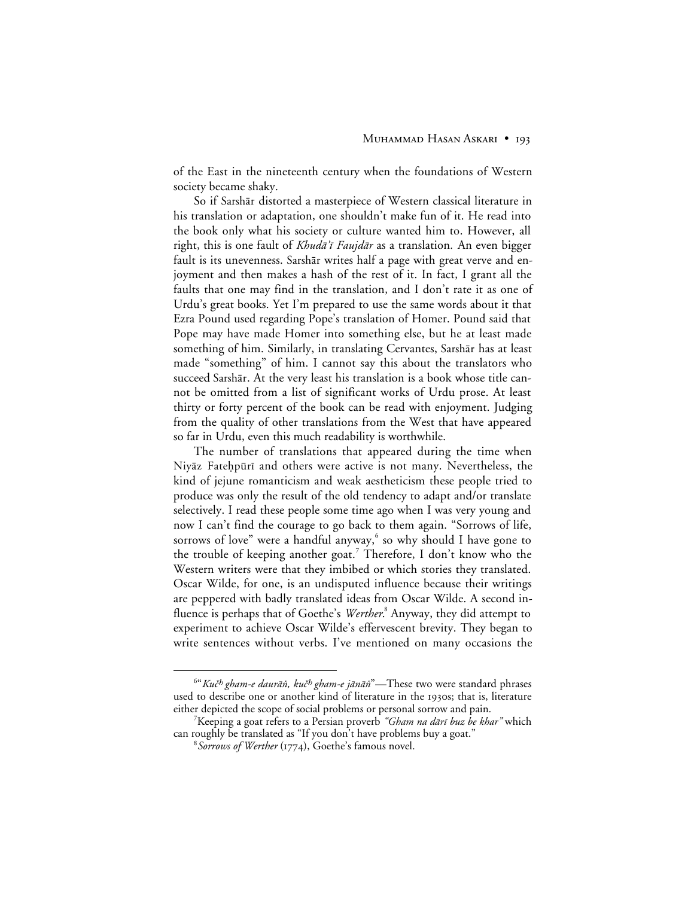of the East in the nineteenth century when the foundations of Western society became shaky.

So if Sarshār distorted a masterpiece of Western classical literature in his translation or adaptation, one shouldn't make fun of it. He read into the book only what his society or culture wanted him to. However, all right, this is one fault of *Khudā'ī Faujdār* as a translation. An even bigger fault is its unevenness. Sarshār writes half a page with great verve and enjoyment and then makes a hash of the rest of it. In fact, I grant all the faults that one may find in the translation, and I don't rate it as one of Urdu's great books. Yet I'm prepared to use the same words about it that Ezra Pound used regarding Pope's translation of Homer. Pound said that Pope may have made Homer into something else, but he at least made something of him. Similarly, in translating Cervantes, Sarshār has at least made "something" of him. I cannot say this about the translators who succeed Sarshār. At the very least his translation is a book whose title cannot be omitted from a list of significant works of Urdu prose. At least thirty or forty percent of the book can be read with enjoyment. Judging from the quality of other translations from the West that have appeared so far in Urdu, even this much readability is worthwhile.

The number of translations that appeared during the time when Niyāz Fatehpūrī and others were active is not many. Nevertheless, the kind of jejune romanticism and weak aestheticism these people tried to produce was only the result of the old tendency to adapt and/or translate selectively. I read these people some time ago when I was very young and now I can't find the courage to go back to them again. "Sorrows of life, sorrows of love" were a handful anyway, $6$  so why should I have gone to the trouble of keeping another goat.<sup>7</sup> Therefore, I don't know who the Western writers were that they imbibed or which stories they translated. Oscar Wilde, for one, is an undisputed influence because their writings are peppered with badly translated ideas from Oscar Wilde. A second influence is perhaps that of Goethe's *Werther*. <sup>8</sup> Anyway, they did attempt to experiment to achieve Oscar Wilde's effervescent brevity. They began to write sentences without verbs. I've mentioned on many occasions the

 $\overline{\phantom{0}}$ <sup>6"</sup>Kuč<sup>h</sup> gham-e daurān, kuč<sup>h</sup> gham-e jānān<sup>"</sup>—These two were standard phrases used to describe one or another kind of literature in the 1930s; that is, literature either depicted the scope of social problems or personal sorrow and pain. <sup>7</sup>

<sup>&</sup>lt;sup>7</sup>Keeping a goat refers to a Persian proverb "Gham na dārī buz be khar" which can roughly be translated as "If you don't have problems buy a goat."

<sup>&</sup>lt;sup>8</sup> Sorrows of Werther (1774), Goethe's famous novel.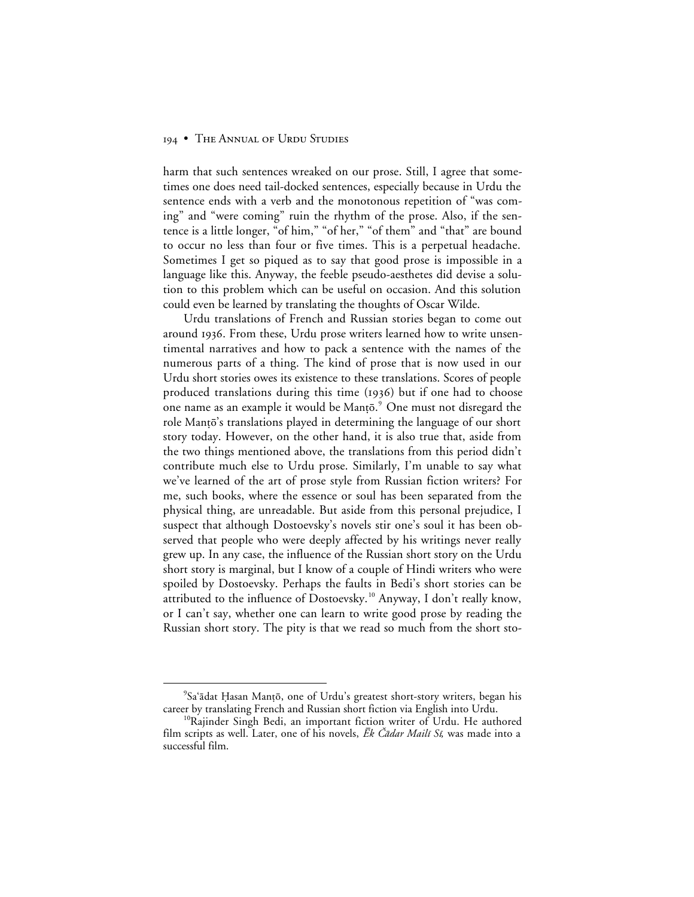harm that such sentences wreaked on our prose. Still, I agree that sometimes one does need tail-docked sentences, especially because in Urdu the sentence ends with a verb and the monotonous repetition of "was coming" and "were coming" ruin the rhythm of the prose. Also, if the sentence is a little longer, "of him," "of her," "of them" and "that" are bound to occur no less than four or five times. This is a perpetual headache. Sometimes I get so piqued as to say that good prose is impossible in a language like this. Anyway, the feeble pseudo-aesthetes did devise a solution to this problem which can be useful on occasion. And this solution could even be learned by translating the thoughts of Oscar Wilde.

Urdu translations of French and Russian stories began to come out around 1936. From these, Urdu prose writers learned how to write unsentimental narratives and how to pack a sentence with the names of the numerous parts of a thing. The kind of prose that is now used in our Urdu short stories owes its existence to these translations. Scores of people produced translations during this time (1936) but if one had to choose one name as an example it would be Manṭō. $^{\circ}$  One must not disregard the role Manțo's translations played in determining the language of our short story today. However, on the other hand, it is also true that, aside from the two things mentioned above, the translations from this period didn't contribute much else to Urdu prose. Similarly, I'm unable to say what we've learned of the art of prose style from Russian fiction writers? For me, such books, where the essence or soul has been separated from the physical thing, are unreadable. But aside from this personal prejudice, I suspect that although Dostoevsky's novels stir one's soul it has been observed that people who were deeply affected by his writings never really grew up. In any case, the influence of the Russian short story on the Urdu short story is marginal, but I know of a couple of Hindi writers who were spoiled by Dostoevsky. Perhaps the faults in Bedi's short stories can be attributed to the influence of Dostoevsky.<sup>10</sup> Anyway, I don't really know, or I can't say, whether one can learn to write good prose by reading the Russian short story. The pity is that we read so much from the short sto-

 $\frac{1}{9}$ <sup>9</sup>Sa'ādat Ḥasan Manṭō, one of Urdu's greatest short-story writers, began his career by translating French and Russian short fiction via English into Urdu.<br><sup>10</sup>Rajinder Singh Bedi, an important fiction writer of Urdu. He authored

film scripts as well. Later, one of his novels,  $\bar{E}k$  *Čādar Mailī Sī*, was made into a successful film.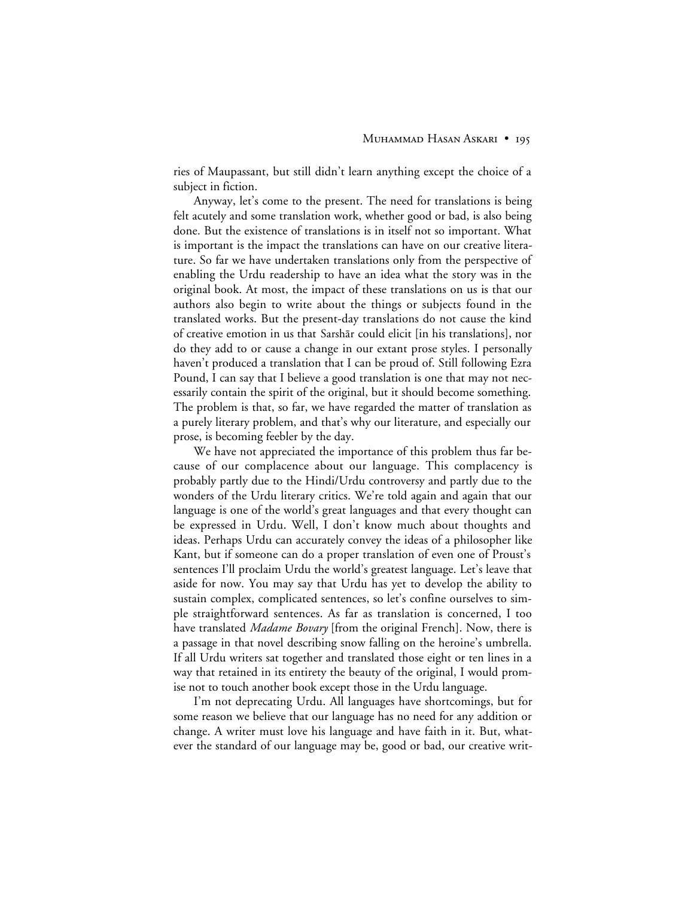ries of Maupassant, but still didn't learn anything except the choice of a subject in fiction.

Anyway, let's come to the present. The need for translations is being felt acutely and some translation work, whether good or bad, is also being done. But the existence of translations is in itself not so important. What is important is the impact the translations can have on our creative literature. So far we have undertaken translations only from the perspective of enabling the Urdu readership to have an idea what the story was in the original book. At most, the impact of these translations on us is that our authors also begin to write about the things or subjects found in the translated works. But the present-day translations do not cause the kind of creative emotion in us that Sarshar could elicit [in his translations], nor do they add to or cause a change in our extant prose styles. I personally haven't produced a translation that I can be proud of. Still following Ezra Pound, I can say that I believe a good translation is one that may not necessarily contain the spirit of the original, but it should become something. The problem is that, so far, we have regarded the matter of translation as a purely literary problem, and that's why our literature, and especially our prose, is becoming feebler by the day.

We have not appreciated the importance of this problem thus far because of our complacence about our language. This complacency is probably partly due to the Hindi/Urdu controversy and partly due to the wonders of the Urdu literary critics. We're told again and again that our language is one of the world's great languages and that every thought can be expressed in Urdu. Well, I don't know much about thoughts and ideas. Perhaps Urdu can accurately convey the ideas of a philosopher like Kant, but if someone can do a proper translation of even one of Proust's sentences I'll proclaim Urdu the world's greatest language. Let's leave that aside for now. You may say that Urdu has yet to develop the ability to sustain complex, complicated sentences, so let's confine ourselves to simple straightforward sentences. As far as translation is concerned, I too have translated *Madame Bovary* [from the original French]. Now, there is a passage in that novel describing snow falling on the heroine's umbrella. If all Urdu writers sat together and translated those eight or ten lines in a way that retained in its entirety the beauty of the original, I would promise not to touch another book except those in the Urdu language.

I'm not deprecating Urdu. All languages have shortcomings, but for some reason we believe that our language has no need for any addition or change. A writer must love his language and have faith in it. But, whatever the standard of our language may be, good or bad, our creative writ-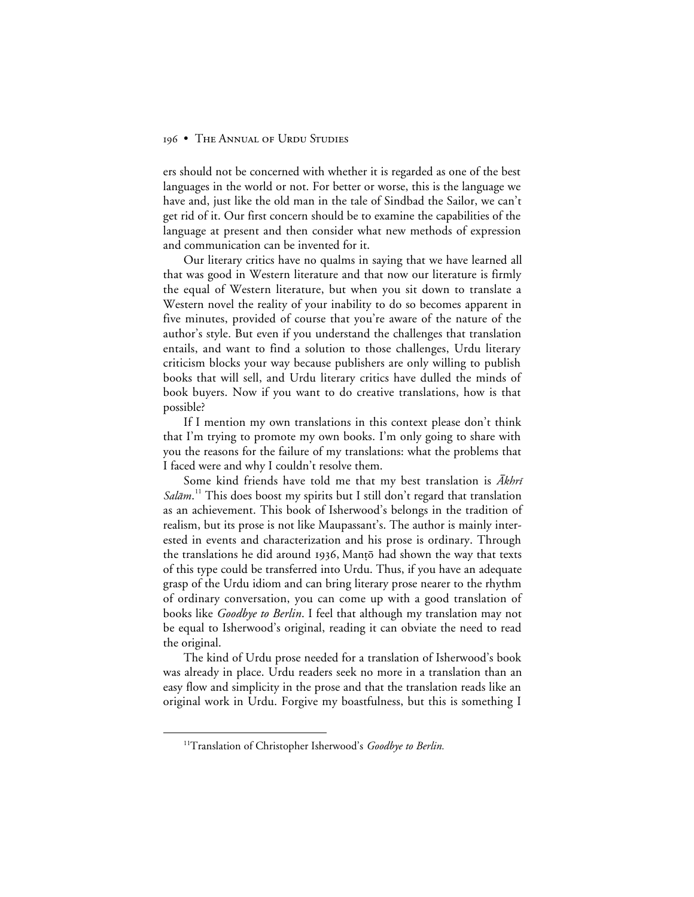ers should not be concerned with whether it is regarded as one of the best languages in the world or not. For better or worse, this is the language we have and, just like the old man in the tale of Sindbad the Sailor, we can't get rid of it. Our first concern should be to examine the capabilities of the language at present and then consider what new methods of expression and communication can be invented for it.

Our literary critics have no qualms in saying that we have learned all that was good in Western literature and that now our literature is firmly the equal of Western literature, but when you sit down to translate a Western novel the reality of your inability to do so becomes apparent in five minutes, provided of course that you're aware of the nature of the author's style. But even if you understand the challenges that translation entails, and want to find a solution to those challenges, Urdu literary criticism blocks your way because publishers are only willing to publish books that will sell, and Urdu literary critics have dulled the minds of book buyers. Now if you want to do creative translations, how is that possible?

If I mention my own translations in this context please don't think that I'm trying to promote my own books. I'm only going to share with you the reasons for the failure of my translations: what the problems that I faced were and why I couldn't resolve them.

Some kind friends have told me that my best translation is  $\bar{A}khr\bar{i}$ Salām.<sup>11</sup> This does boost my spirits but I still don't regard that translation as an achievement. This book of Isherwood's belongs in the tradition of realism, but its prose is not like Maupassant's. The author is mainly interested in events and characterization and his prose is ordinary. Through the translations he did around 1936, Mantō had shown the way that texts of this type could be transferred into Urdu. Thus, if you have an adequate grasp of the Urdu idiom and can bring literary prose nearer to the rhythm of ordinary conversation, you can come up with a good translation of books like *Goodbye to Berlin*. I feel that although my translation may not be equal to Isherwood's original, reading it can obviate the need to read the original.

The kind of Urdu prose needed for a translation of Isherwood's book was already in place. Urdu readers seek no more in a translation than an easy flow and simplicity in the prose and that the translation reads like an original work in Urdu. Forgive my boastfulness, but this is something I

<sup>&</sup>lt;sup>11</sup>Translation of Christopher Isherwood's *Goodbye to Berlin*.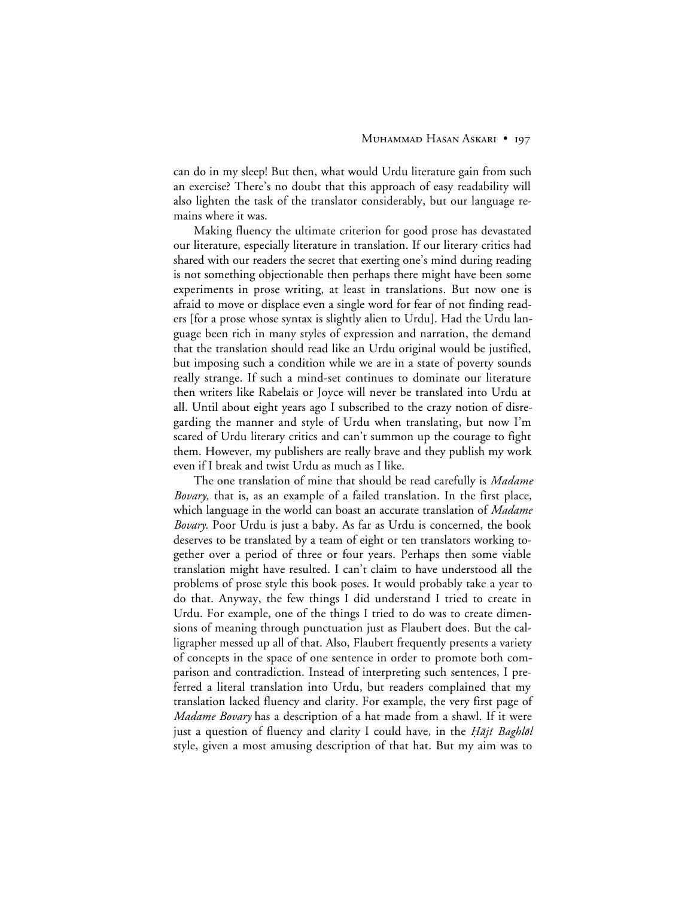can do in my sleep! But then, what would Urdu literature gain from such an exercise? There's no doubt that this approach of easy readability will also lighten the task of the translator considerably, but our language remains where it was.

Making fluency the ultimate criterion for good prose has devastated our literature, especially literature in translation. If our literary critics had shared with our readers the secret that exerting one's mind during reading is not something objectionable then perhaps there might have been some experiments in prose writing, at least in translations. But now one is afraid to move or displace even a single word for fear of not finding readers [for a prose whose syntax is slightly alien to Urdu]. Had the Urdu language been rich in many styles of expression and narration, the demand that the translation should read like an Urdu original would be justified, but imposing such a condition while we are in a state of poverty sounds really strange. If such a mind-set continues to dominate our literature then writers like Rabelais or Joyce will never be translated into Urdu at all. Until about eight years ago I subscribed to the crazy notion of disregarding the manner and style of Urdu when translating, but now I'm scared of Urdu literary critics and can't summon up the courage to fight them. However, my publishers are really brave and they publish my work even if I break and twist Urdu as much as I like.

The one translation of mine that should be read carefully is *Madame Bovary,* that is, as an example of a failed translation. In the first place, which language in the world can boast an accurate translation of *Madame Bovary.* Poor Urdu is just a baby. As far as Urdu is concerned, the book deserves to be translated by a team of eight or ten translators working together over a period of three or four years. Perhaps then some viable translation might have resulted. I can't claim to have understood all the problems of prose style this book poses. It would probably take a year to do that. Anyway, the few things I did understand I tried to create in Urdu. For example, one of the things I tried to do was to create dimensions of meaning through punctuation just as Flaubert does. But the calligrapher messed up all of that. Also, Flaubert frequently presents a variety of concepts in the space of one sentence in order to promote both comparison and contradiction. Instead of interpreting such sentences, I preferred a literal translation into Urdu, but readers complained that my translation lacked fluency and clarity. For example, the very first page of *Madame Bovary* has a description of a hat made from a shawl. If it were just a question of fluency and clarity I could have, in the  $H\bar{a}ji$  Baghlol style, given a most amusing description of that hat. But my aim was to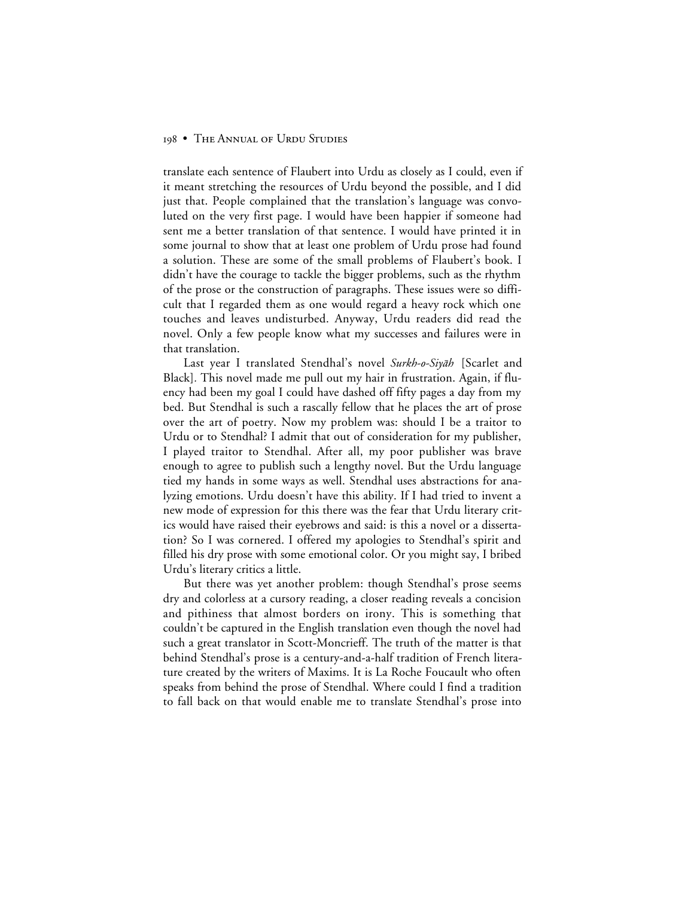translate each sentence of Flaubert into Urdu as closely as I could, even if it meant stretching the resources of Urdu beyond the possible, and I did just that. People complained that the translation's language was convoluted on the very first page. I would have been happier if someone had sent me a better translation of that sentence. I would have printed it in some journal to show that at least one problem of Urdu prose had found a solution. These are some of the small problems of Flaubert's book. I didn't have the courage to tackle the bigger problems, such as the rhythm of the prose or the construction of paragraphs. These issues were so difficult that I regarded them as one would regard a heavy rock which one touches and leaves undisturbed. Anyway, Urdu readers did read the novel. Only a few people know what my successes and failures were in that translation.

Last year I translated Stendhal's novel Surkh-o-Siyah [Scarlet and Black]*.* This novel made me pull out my hair in frustration. Again, if fluency had been my goal I could have dashed off fifty pages a day from my bed. But Stendhal is such a rascally fellow that he places the art of prose over the art of poetry. Now my problem was: should I be a traitor to Urdu or to Stendhal? I admit that out of consideration for my publisher, I played traitor to Stendhal. After all, my poor publisher was brave enough to agree to publish such a lengthy novel. But the Urdu language tied my hands in some ways as well. Stendhal uses abstractions for analyzing emotions. Urdu doesn't have this ability. If I had tried to invent a new mode of expression for this there was the fear that Urdu literary critics would have raised their eyebrows and said: is this a novel or a dissertation? So I was cornered. I offered my apologies to Stendhal's spirit and filled his dry prose with some emotional color. Or you might say, I bribed Urdu's literary critics a little.

But there was yet another problem: though Stendhal's prose seems dry and colorless at a cursory reading, a closer reading reveals a concision and pithiness that almost borders on irony. This is something that couldn't be captured in the English translation even though the novel had such a great translator in Scott-Moncrieff. The truth of the matter is that behind Stendhal's prose is a century-and-a-half tradition of French literature created by the writers of Maxims. It is La Roche Foucault who often speaks from behind the prose of Stendhal. Where could I find a tradition to fall back on that would enable me to translate Stendhal's prose into